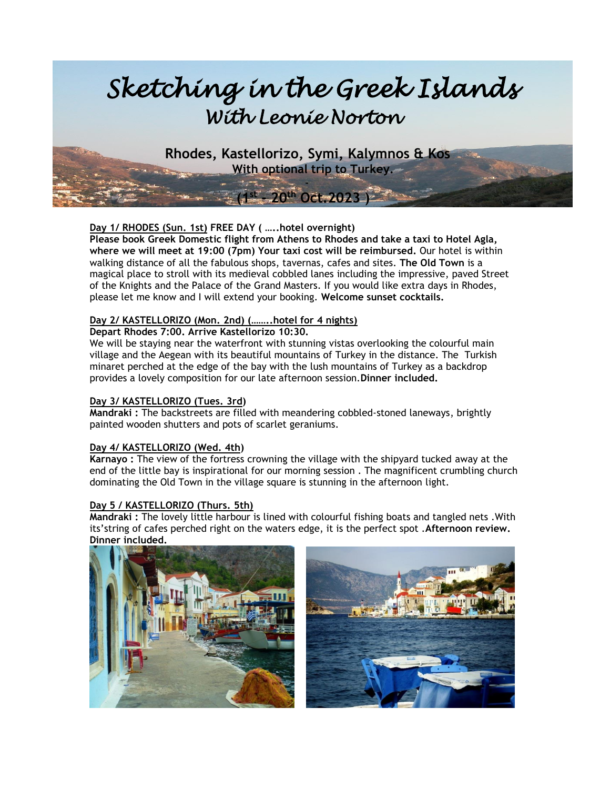

 **Rhodes, Kastellorizo, Symi, Kalymnos & Kos With optional trip to Turkey.**

-

**st - 20 th Oct.2023 )** 

**Day 1/ RHODES (Sun. 1st) FREE DAY ( …..hotel overnight)**

**Please book Greek Domestic flight from Athens to Rhodes and take a taxi to Hotel Agla, where we will meet at 19:00 (7pm) Your taxi cost will be reimbursed.** Our hotel is within walking distance of all the fabulous shops, tavernas, cafes and sites. **The Old Town** is a magical place to stroll with its medieval cobbled lanes including the impressive, paved Street of the Knights and the Palace of the Grand Masters. If you would like extra days in Rhodes, please let me know and I will extend your booking. **Welcome sunset cocktails.**

# **Day 2/ KASTELLORIZO (Mon. 2nd) (……..hotel for 4 nights)**

#### **Depart Rhodes 7:00. Arrive Kastellorizo 10:30.**

We will be staying near the waterfront with stunning vistas overlooking the colourful main village and the Aegean with its beautiful mountains of Turkey in the distance. The Turkish minaret perched at the edge of the bay with the lush mountains of Turkey as a backdrop provides a lovely composition for our late afternoon session.**Dinner included.**

#### **Day 3/ KASTELLORIZO (Tues. 3rd)**

*x* (1*1*)

**Mandraki :** The backstreets are filled with meandering cobbled-stoned laneways, brightly painted wooden shutters and pots of scarlet geraniums.

#### **Day 4/ KASTELLORIZO (Wed. 4th)**

**Karnayo :** The view of the fortress crowning the village with the shipyard tucked away at the end of the little bay is inspirational for our morning session . The magnificent crumbling church dominating the Old Town in the village square is stunning in the afternoon light.

#### **Day 5 / KASTELLORIZO (Thurs. 5th)**

**Mandraki :** The lovely little harbour is lined with colourful fishing boats and tangled nets .With its'string of cafes perched right on the waters edge, it is the perfect spot .**Afternoon review. Dinner included.**

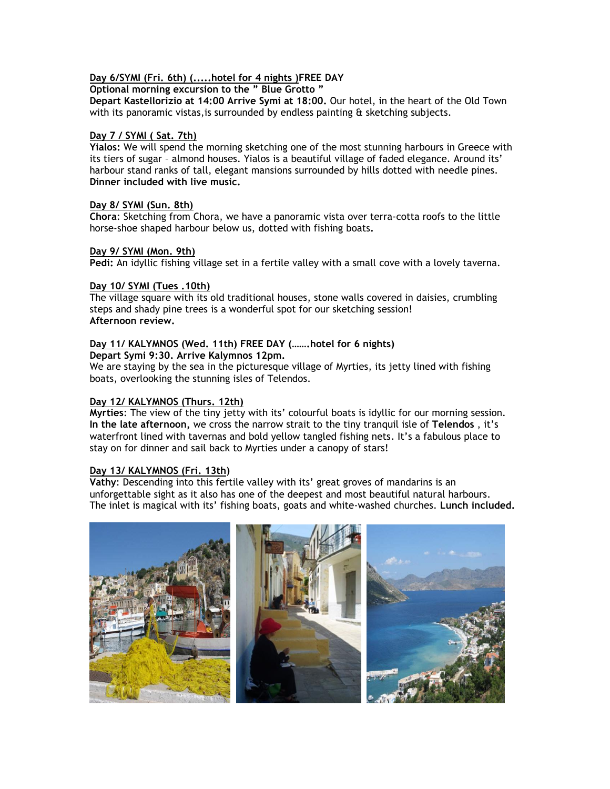# **Day 6/SYMI (Fri. 6th) (.....hotel for 4 nights )FREE DAY**

# **Optional morning excursion to the " Blue Grotto "**

**Depart Kastellorizio at 14:00 Arrive Symi at 18:00.** Our hotel, in the heart of the Old Town with its panoramic vistas,is surrounded by endless painting & sketching subjects.

#### **Day 7 / SYMI ( Sat. 7th)**

**Yialos:** We will spend the morning sketching one of the most stunning harbours in Greece with its tiers of sugar – almond houses. Yialos is a beautiful village of faded elegance. Around its' harbour stand ranks of tall, elegant mansions surrounded by hills dotted with needle pines. **Dinner included with live music.**

#### **Day 8/ SYMI (Sun. 8th)**

**Chora**: Sketching from Chora, we have a panoramic vista over terra-cotta roofs to the little horse-shoe shaped harbour below us, dotted with fishing boats**.**

#### **Day 9/ SYMI (Mon. 9th)**

**Pedi:** An idyllic fishing village set in a fertile valley with a small cove with a lovely taverna.

#### **Day 10/ SYMI (Tues .10th)**

The village square with its old traditional houses, stone walls covered in daisies, crumbling steps and shady pine trees is a wonderful spot for our sketching session! **Afternoon review.**

#### **Day 11/ KALYMNOS (Wed. 11th) FREE DAY (…….hotel for 6 nights)**

**Depart Symi 9:30. Arrive Kalymnos 12pm.**

We are staying by the sea in the picturesque village of Myrties, its jetty lined with fishing boats, overlooking the stunning isles of Telendos.

#### **Day 12/ KALYMNOS (Thurs. 12th)**

**Myrties**: The view of the tiny jetty with its' colourful boats is idyllic for our morning session. **In the late afternoon,** we cross the narrow strait to the tiny tranquil isle of **Telendos** , it's waterfront lined with tavernas and bold yellow tangled fishing nets. It's a fabulous place to stay on for dinner and sail back to Myrties under a canopy of stars!

#### **Day 13/ KALYMNOS (Fri. 13th)**

**Vathy**: Descending into this fertile valley with its' great groves of mandarins is an unforgettable sight as it also has one of the deepest and most beautiful natural harbours. The inlet is magical with its' fishing boats, goats and white-washed churches. **Lunch included.**